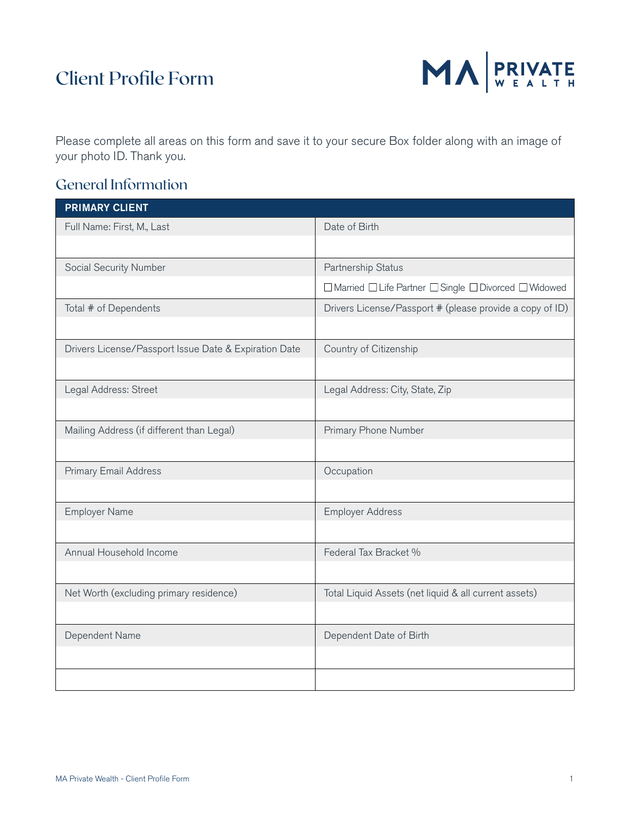## Client Profile Form



Please complete all areas on this form and save it to your secure Box folder along with an image of your photo ID. Thank you.

### General Information

| <b>PRIMARY CLIENT</b>                                 |                                                          |
|-------------------------------------------------------|----------------------------------------------------------|
| Full Name: First, M., Last                            | Date of Birth                                            |
|                                                       |                                                          |
| Social Security Number                                | Partnership Status                                       |
|                                                       | □ Married □ Life Partner □ Single □ Divorced □ Widowed   |
| Total # of Dependents                                 | Drivers License/Passport # (please provide a copy of ID) |
|                                                       |                                                          |
| Drivers License/Passport Issue Date & Expiration Date | Country of Citizenship                                   |
|                                                       |                                                          |
| Legal Address: Street                                 | Legal Address: City, State, Zip                          |
|                                                       |                                                          |
| Mailing Address (if different than Legal)             | Primary Phone Number                                     |
|                                                       |                                                          |
| <b>Primary Email Address</b>                          | Occupation                                               |
|                                                       |                                                          |
| <b>Employer Name</b>                                  | <b>Employer Address</b>                                  |
|                                                       |                                                          |
| Annual Household Income                               | Federal Tax Bracket %                                    |
|                                                       |                                                          |
| Net Worth (excluding primary residence)               | Total Liquid Assets (net liquid & all current assets)    |
|                                                       |                                                          |
| Dependent Name                                        | Dependent Date of Birth                                  |
|                                                       |                                                          |
|                                                       |                                                          |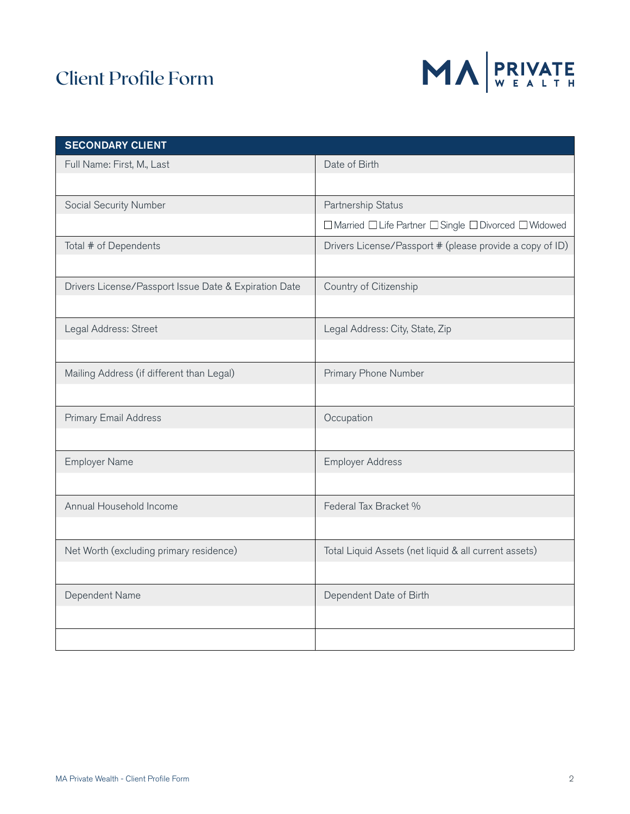# Client Profile Form



| <b>SECONDARY CLIENT</b>                               |                                                          |  |
|-------------------------------------------------------|----------------------------------------------------------|--|
| Full Name: First, M., Last                            | Date of Birth                                            |  |
|                                                       |                                                          |  |
| Social Security Number                                | Partnership Status                                       |  |
|                                                       | □ Married □ Life Partner □ Single □ Divorced □ Widowed   |  |
| Total # of Dependents                                 | Drivers License/Passport # (please provide a copy of ID) |  |
|                                                       |                                                          |  |
| Drivers License/Passport Issue Date & Expiration Date | Country of Citizenship                                   |  |
|                                                       |                                                          |  |
| Legal Address: Street                                 | Legal Address: City, State, Zip                          |  |
|                                                       |                                                          |  |
| Mailing Address (if different than Legal)             | Primary Phone Number                                     |  |
|                                                       |                                                          |  |
| <b>Primary Email Address</b>                          | Occupation                                               |  |
|                                                       |                                                          |  |
| <b>Employer Name</b>                                  | <b>Employer Address</b>                                  |  |
|                                                       |                                                          |  |
| Annual Household Income                               | Federal Tax Bracket %                                    |  |
|                                                       |                                                          |  |
| Net Worth (excluding primary residence)               | Total Liquid Assets (net liquid & all current assets)    |  |
|                                                       |                                                          |  |
| Dependent Name                                        | Dependent Date of Birth                                  |  |
|                                                       |                                                          |  |
|                                                       |                                                          |  |